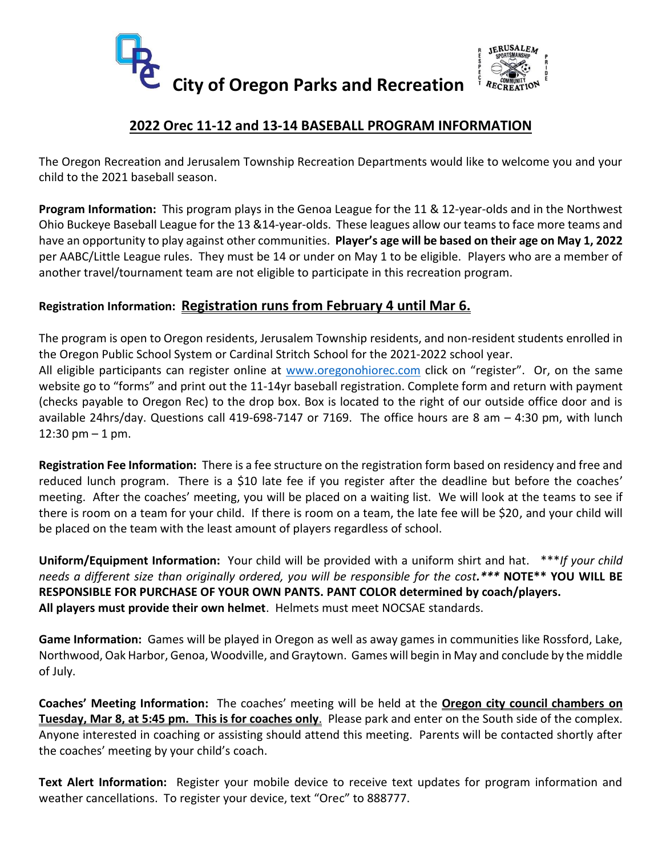



## **2022 Orec 11-12 and 13-14 BASEBALL PROGRAM INFORMATION**

The Oregon Recreation and Jerusalem Township Recreation Departments would like to welcome you and your child to the 2021 baseball season.

**Program Information:** This program plays in the Genoa League for the 11 & 12-year-olds and in the Northwest Ohio Buckeye Baseball League for the 13 &14-year-olds. These leagues allow our teams to face more teams and have an opportunity to play against other communities. **Player's age will be based on their age on May 1, 2022** per AABC/Little League rules. They must be 14 or under on May 1 to be eligible. Players who are a member of another travel/tournament team are not eligible to participate in this recreation program.

### **Registration Information: Registration runs from February 4 until Mar 6.**

The program is open to Oregon residents, Jerusalem Township residents, and non-resident students enrolled in the Oregon Public School System or Cardinal Stritch School for the 2021-2022 school year.

All eligible participants can register online at [www.oregonohiorec.com](http://www.oregonohiorec.com/) click on "register". Or, on the same website go to "forms" and print out the 11-14yr baseball registration. Complete form and return with payment (checks payable to Oregon Rec) to the drop box. Box is located to the right of our outside office door and is available 24hrs/day. Questions call 419-698-7147 or 7169. The office hours are 8 am – 4:30 pm, with lunch  $12:30 \text{ pm} - 1 \text{ pm}$ .

**Registration Fee Information:** There is a fee structure on the registration form based on residency and free and reduced lunch program. There is a \$10 late fee if you register after the deadline but before the coaches' meeting. After the coaches' meeting, you will be placed on a waiting list. We will look at the teams to see if there is room on a team for your child. If there is room on a team, the late fee will be \$20, and your child will be placed on the team with the least amount of players regardless of school.

**Uniform/Equipment Information:** Your child will be provided with a uniform shirt and hat. \*\*\**If your child needs a different size than originally ordered, you will be responsible for the cost.\*\*\** **NOTE\*\* YOU WILL BE RESPONSIBLE FOR PURCHASE OF YOUR OWN PANTS. PANT COLOR determined by coach/players. All players must provide their own helmet**. Helmets must meet NOCSAE standards.

**Game Information:** Games will be played in Oregon as well as away games in communities like Rossford, Lake, Northwood, Oak Harbor, Genoa, Woodville, and Graytown. Games will begin in May and conclude by the middle of July.

**Coaches' Meeting Information:** The coaches' meeting will be held at the **Oregon city council chambers on Tuesday, Mar 8, at 5:45 pm. This is for coaches only**. Please park and enter on the South side of the complex. Anyone interested in coaching or assisting should attend this meeting. Parents will be contacted shortly after the coaches' meeting by your child's coach.

**Text Alert Information:** Register your mobile device to receive text updates for program information and weather cancellations. To register your device, text "Orec" to 888777.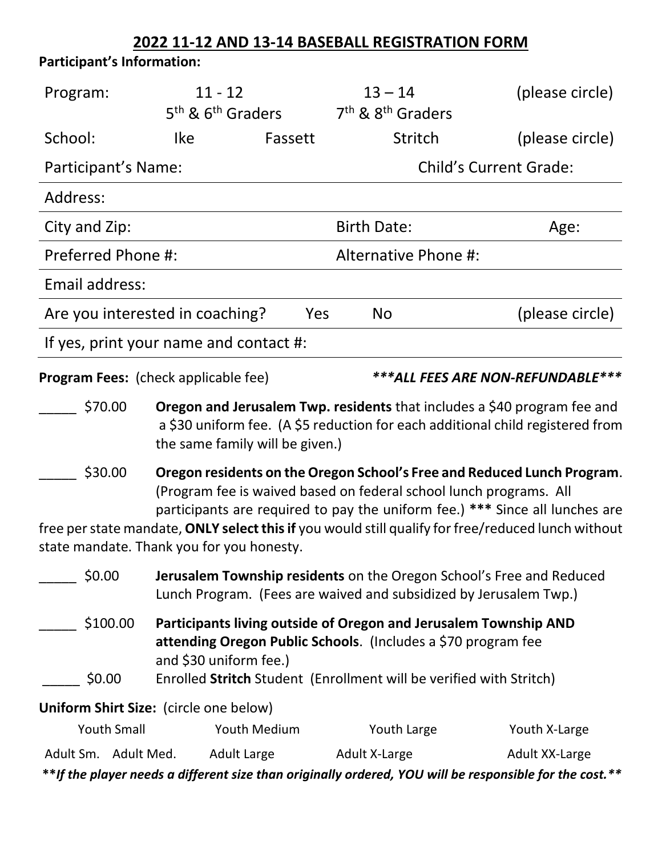# **2022 11-12 AND 13-14 BASEBALL REGISTRATION FORM**

# **Participant's Information:**

| Program:                                                                  | $11 - 12$<br>5 <sup>th</sup> & 6 <sup>th</sup> Graders                                                                                                                                                                                                                                                                                                                           |                      | $13 - 14$<br>7 <sup>th</sup> & 8 <sup>th</sup> Graders | (please circle)                                                                                         |
|---------------------------------------------------------------------------|----------------------------------------------------------------------------------------------------------------------------------------------------------------------------------------------------------------------------------------------------------------------------------------------------------------------------------------------------------------------------------|----------------------|--------------------------------------------------------|---------------------------------------------------------------------------------------------------------|
| School:                                                                   | <b>Ike</b>                                                                                                                                                                                                                                                                                                                                                                       | Fassett              | Stritch                                                | (please circle)                                                                                         |
| Participant's Name:                                                       |                                                                                                                                                                                                                                                                                                                                                                                  |                      | <b>Child's Current Grade:</b>                          |                                                                                                         |
| Address:                                                                  |                                                                                                                                                                                                                                                                                                                                                                                  |                      |                                                        |                                                                                                         |
| City and Zip:                                                             |                                                                                                                                                                                                                                                                                                                                                                                  |                      | <b>Birth Date:</b>                                     | Age:                                                                                                    |
| Preferred Phone #:                                                        |                                                                                                                                                                                                                                                                                                                                                                                  | Alternative Phone #: |                                                        |                                                                                                         |
| Email address:                                                            |                                                                                                                                                                                                                                                                                                                                                                                  |                      |                                                        |                                                                                                         |
| Are you interested in coaching?                                           |                                                                                                                                                                                                                                                                                                                                                                                  | Yes                  | <b>No</b>                                              | (please circle)                                                                                         |
| If yes, print your name and contact #:                                    |                                                                                                                                                                                                                                                                                                                                                                                  |                      |                                                        |                                                                                                         |
| ***ALL FEES ARE NON-REFUNDABLE***<br>Program Fees: (check applicable fee) |                                                                                                                                                                                                                                                                                                                                                                                  |                      |                                                        |                                                                                                         |
| \$70.00                                                                   | <b>Oregon and Jerusalem Twp. residents</b> that includes a \$40 program fee and<br>a \$30 uniform fee. (A \$5 reduction for each additional child registered from<br>the same family will be given.)                                                                                                                                                                             |                      |                                                        |                                                                                                         |
| \$30.00                                                                   | Oregon residents on the Oregon School's Free and Reduced Lunch Program.<br>(Program fee is waived based on federal school lunch programs. All<br>participants are required to pay the uniform fee.) *** Since all lunches are<br>free per state mandate, ONLY select this if you would still qualify for free/reduced lunch without<br>state mandate. Thank you for you honesty. |                      |                                                        |                                                                                                         |
| \$0.00                                                                    | Jerusalem Township residents on the Oregon School's Free and Reduced<br>Lunch Program. (Fees are waived and subsidized by Jerusalem Twp.)                                                                                                                                                                                                                                        |                      |                                                        |                                                                                                         |
| \$100.00<br>\$0.00                                                        | Participants living outside of Oregon and Jerusalem Township AND<br>attending Oregon Public Schools. (Includes a \$70 program fee<br>and \$30 uniform fee.)<br>Enrolled Stritch Student (Enrollment will be verified with Stritch)                                                                                                                                               |                      |                                                        |                                                                                                         |
| Uniform Shirt Size: (circle one below)                                    |                                                                                                                                                                                                                                                                                                                                                                                  |                      |                                                        |                                                                                                         |
| <b>Youth Small</b>                                                        |                                                                                                                                                                                                                                                                                                                                                                                  | <b>Youth Medium</b>  | Youth Large                                            | Youth X-Large                                                                                           |
| Adult Sm. Adult Med.                                                      | <b>Adult Large</b>                                                                                                                                                                                                                                                                                                                                                               |                      | Adult X-Large                                          | Adult XX-Large                                                                                          |
|                                                                           |                                                                                                                                                                                                                                                                                                                                                                                  |                      |                                                        | **If the player needs a different size than originally ordered, YOU will be responsible for the cost.** |